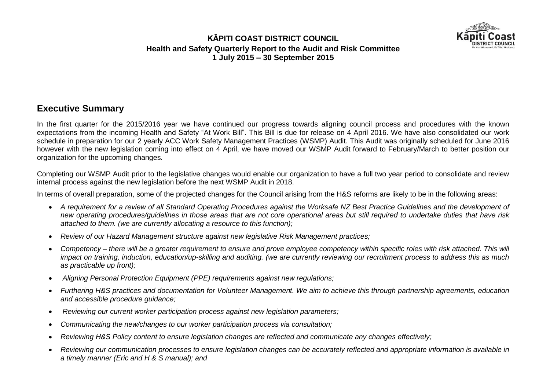

# **Executive Summary**

In the first quarter for the 2015/2016 year we have continued our progress towards aligning council process and procedures with the known expectations from the incoming Health and Safety "At Work Bill". This Bill is due for release on 4 April 2016. We have also consolidated our work schedule in preparation for our 2 yearly ACC Work Safety Management Practices (WSMP) Audit. This Audit was originally scheduled for June 2016 however with the new legislation coming into effect on 4 April, we have moved our WSMP Audit forward to February/March to better position our organization for the upcoming changes.

Completing our WSMP Audit prior to the legislative changes would enable our organization to have a full two year period to consolidate and review internal process against the new legislation before the next WSMP Audit in 2018.

In terms of overall preparation, some of the projected changes for the Council arising from the H&S reforms are likely to be in the following areas:

- *A requirement for a review of all Standard Operating Procedures against the Worksafe NZ Best Practice Guidelines and the development of new operating procedures/guidelines in those areas that are not core operational areas but still required to undertake duties that have risk attached to them. (we are currently allocating a resource to this function);*
- *Review of our Hazard Management structure against new legislative Risk Management practices;*
- *Competency – there will be a greater requirement to ensure and prove employee competency within specific roles with risk attached. This will impact on training, induction, education/up-skilling and auditing. (we are currently reviewing our recruitment process to address this as much as practicable up front);*
- *Aligning Personal Protection Equipment (PPE) requirements against new regulations;*
- *Furthering H&S practices and documentation for Volunteer Management. We aim to achieve this through partnership agreements, education and accessible procedure guidance;*
- *Reviewing our current worker participation process against new legislation parameters;*
- *Communicating the new/changes to our worker participation process via consultation;*
- *Reviewing H&S Policy content to ensure legislation changes are reflected and communicate any changes effectively;*
- *Reviewing our communication processes to ensure legislation changes can be accurately reflected and appropriate information is available in a timely manner (Eric and H & S manual); and*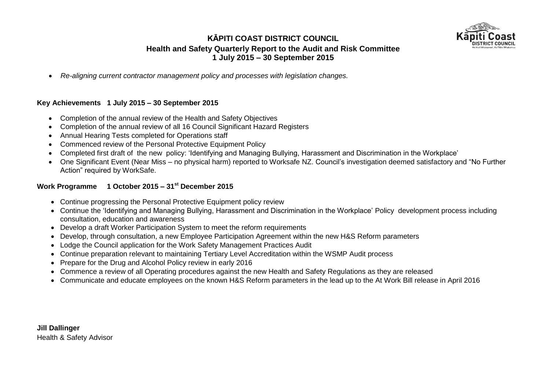

*Re-aligning current contractor management policy and processes with legislation changes.*

#### **Key Achievements 1 July 2015 – 30 September 2015**

- Completion of the annual review of the Health and Safety Objectives
- Completion of the annual review of all 16 Council Significant Hazard Registers
- Annual Hearing Tests completed for Operations staff
- Commenced review of the Personal Protective Equipment Policy
- Completed first draft of the new policy: 'Identifying and Managing Bullying, Harassment and Discrimination in the Workplace'
- One Significant Event (Near Miss no physical harm) reported to Worksafe NZ. Council's investigation deemed satisfactory and "No Further Action" required by WorkSafe.

#### **Work Programme 1 October 2015 – 31st December 2015**

- Continue progressing the Personal Protective Equipment policy review
- Continue the 'Identifying and Managing Bullying, Harassment and Discrimination in the Workplace' Policy development process including consultation, education and awareness
- Develop a draft Worker Participation System to meet the reform requirements
- Develop, through consultation, a new Employee Participation Agreement within the new H&S Reform parameters
- Lodge the Council application for the Work Safety Management Practices Audit
- Continue preparation relevant to maintaining Tertiary Level Accreditation within the WSMP Audit process
- Prepare for the Drug and Alcohol Policy review in early 2016
- Commence a review of all Operating procedures against the new Health and Safety Regulations as they are released
- Communicate and educate employees on the known H&S Reform parameters in the lead up to the At Work Bill release in April 2016

**Jill Dallinger** Health & Safety Advisor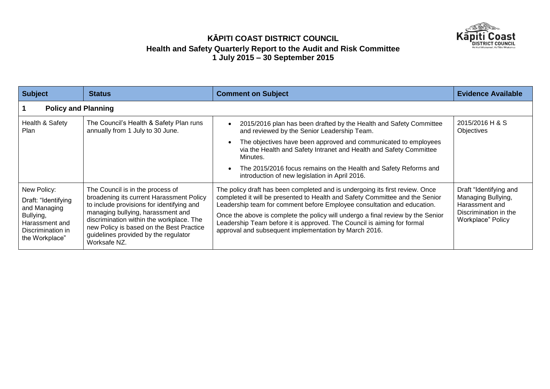

| <b>Subject</b>                                                                                                           | <b>Status</b>                                                                                                                                                                                                                                                                                                  | <b>Comment on Subject</b>                                                                                                                                                                                                                                                                                                                                                                                                                                      | <b>Evidence Available</b>                                                                                    |  |
|--------------------------------------------------------------------------------------------------------------------------|----------------------------------------------------------------------------------------------------------------------------------------------------------------------------------------------------------------------------------------------------------------------------------------------------------------|----------------------------------------------------------------------------------------------------------------------------------------------------------------------------------------------------------------------------------------------------------------------------------------------------------------------------------------------------------------------------------------------------------------------------------------------------------------|--------------------------------------------------------------------------------------------------------------|--|
|                                                                                                                          | <b>Policy and Planning</b>                                                                                                                                                                                                                                                                                     |                                                                                                                                                                                                                                                                                                                                                                                                                                                                |                                                                                                              |  |
| Health & Safety<br>Plan                                                                                                  | The Council's Health & Safety Plan runs<br>annually from 1 July to 30 June.                                                                                                                                                                                                                                    | 2015/2016 plan has been drafted by the Health and Safety Committee<br>and reviewed by the Senior Leadership Team.<br>The objectives have been approved and communicated to employees<br>$\bullet$<br>via the Health and Safety Intranet and Health and Safety Committee<br>Minutes.<br>The 2015/2016 focus remains on the Health and Safety Reforms and<br>$\bullet$<br>introduction of new legislation in April 2016.                                         | 2015/2016 H & S<br>Objectives                                                                                |  |
| New Policy:<br>Draft: "Identifying<br>and Managing<br>Bullying,<br>Harassment and<br>Discrimination in<br>the Workplace" | The Council is in the process of<br>broadening its current Harassment Policy<br>to include provisions for identifying and<br>managing bullying, harassment and<br>discrimination within the workplace. The<br>new Policy is based on the Best Practice<br>guidelines provided by the regulator<br>Worksafe NZ. | The policy draft has been completed and is undergoing its first review. Once<br>completed it will be presented to Health and Safety Committee and the Senior<br>Leadership team for comment before Employee consultation and education.<br>Once the above is complete the policy will undergo a final review by the Senior<br>Leadership Team before it is approved. The Council is aiming for formal<br>approval and subsequent implementation by March 2016. | Draft "Identifying and<br>Managing Bullying,<br>Harassment and<br>Discrimination in the<br>Workplace" Policy |  |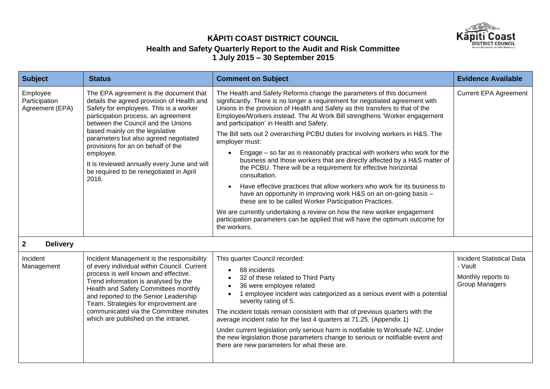

| <b>Subject</b>                               | <b>Status</b>                                                                                                                                                                                                                                                                                                                                                                                                                                 | <b>Comment on Subject</b>                                                                                                                                                                                                                                                                                                                                                                                                                                                                                                                                                                                                                                                                                                                                                                                                                                                                                                                                                                                                                                                                                        | <b>Evidence Available</b>                                                                  |
|----------------------------------------------|-----------------------------------------------------------------------------------------------------------------------------------------------------------------------------------------------------------------------------------------------------------------------------------------------------------------------------------------------------------------------------------------------------------------------------------------------|------------------------------------------------------------------------------------------------------------------------------------------------------------------------------------------------------------------------------------------------------------------------------------------------------------------------------------------------------------------------------------------------------------------------------------------------------------------------------------------------------------------------------------------------------------------------------------------------------------------------------------------------------------------------------------------------------------------------------------------------------------------------------------------------------------------------------------------------------------------------------------------------------------------------------------------------------------------------------------------------------------------------------------------------------------------------------------------------------------------|--------------------------------------------------------------------------------------------|
| Employee<br>Participation<br>Agreement (EPA) | The EPA agreement is the document that<br>details the agreed provision of Health and<br>Safety for employees. This is a worker<br>participation process, an agreement<br>between the Council and the Unions<br>based mainly on the legislative<br>parameters but also agreed negotiated<br>provisions for an on behalf of the<br>employee.<br>It is reviewed annually every June and will<br>be required to be renegotiated in April<br>2016. | The Health and Safety Reforms change the parameters of this document<br>significantly. There is no longer a requirement for negotiated agreement with<br>Unions in the provision of Health and Safety as this transfers to that of the<br>Employee/Workers instead. The At Work Bill strengthens 'Worker engagement<br>and participation' in Health and Safety.<br>The Bill sets out 2 overarching PCBU duties for involving workers in H&S. The<br>employer must:<br>Engage – so far as is reasonably practical with workers who work for the<br>business and those workers that are directly affected by a H&S matter of<br>the PCBU. There will be a requirement for effective horizontal<br>consultation.<br>Have effective practices that allow workers who work for its business to<br>$\bullet$<br>have an opportunity in improving work H&S on an on-going basis -<br>these are to be called Worker Participation Practices.<br>We are currently undertaking a review on how the new worker engagement<br>participation parameters can be applied that will have the optimum outcome for<br>the workers. | <b>Current EPA Agreement</b>                                                               |
| $\mathbf 2$<br><b>Delivery</b>               |                                                                                                                                                                                                                                                                                                                                                                                                                                               |                                                                                                                                                                                                                                                                                                                                                                                                                                                                                                                                                                                                                                                                                                                                                                                                                                                                                                                                                                                                                                                                                                                  |                                                                                            |
| Incident<br>Management                       | Incident Management is the responsibility<br>of every individual within Council. Current<br>process is well known and effective.<br>Trend information is analysed by the<br>Health and Safety Committees monthly<br>and reported to the Senior Leadership<br>Team. Strategies for improvement are<br>communicated via the Committee minutes<br>which are published on the intranet.                                                           | This quarter Council recorded:<br>68 incidents<br>$\bullet$<br>32 of these related to Third Party<br>36 were employee related<br>1 employee incident was categorized as a serious event with a potential<br>severity rating of 5.<br>The incident totals remain consistent with that of previous quarters with the<br>average incident ratio for the last 4 quarters at 71.25. (Appendix 1)<br>Under current legislation only serious harm is notifiable to Worksafe NZ. Under<br>the new legislation those parameters change to serious or notifiable event and<br>there are new parameters for what these are.                                                                                                                                                                                                                                                                                                                                                                                                                                                                                                 | <b>Incident Statistical Data</b><br>- Vault<br>Monthly reports to<br><b>Group Managers</b> |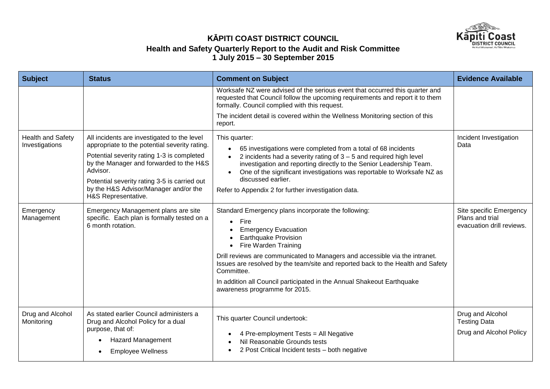

| <b>Subject</b>                             | <b>Status</b>                                                                                                                                                                                                                                                                                                     | <b>Comment on Subject</b>                                                                                                                                                                                                                                                                                                                                                                                                                                 | <b>Evidence Available</b>                                               |
|--------------------------------------------|-------------------------------------------------------------------------------------------------------------------------------------------------------------------------------------------------------------------------------------------------------------------------------------------------------------------|-----------------------------------------------------------------------------------------------------------------------------------------------------------------------------------------------------------------------------------------------------------------------------------------------------------------------------------------------------------------------------------------------------------------------------------------------------------|-------------------------------------------------------------------------|
|                                            |                                                                                                                                                                                                                                                                                                                   | Worksafe NZ were advised of the serious event that occurred this quarter and<br>requested that Council follow the upcoming requirements and report it to them<br>formally. Council complied with this request.<br>The incident detail is covered within the Wellness Monitoring section of this<br>report.                                                                                                                                                |                                                                         |
| <b>Health and Safety</b><br>Investigations | All incidents are investigated to the level<br>appropriate to the potential severity rating.<br>Potential severity rating 1-3 is completed<br>by the Manager and forwarded to the H&S<br>Advisor.<br>Potential severity rating 3-5 is carried out<br>by the H&S Advisor/Manager and/or the<br>H&S Representative. | This quarter:<br>65 investigations were completed from a total of 68 incidents<br>$\bullet$<br>2 incidents had a severity rating of $3 - 5$ and required high level<br>$\bullet$<br>investigation and reporting directly to the Senior Leadership Team.<br>One of the significant investigations was reportable to Worksafe NZ as<br>$\bullet$<br>discussed earlier.<br>Refer to Appendix 2 for further investigation data.                               | Incident Investigation<br>Data                                          |
| Emergency<br>Management                    | Emergency Management plans are site<br>specific. Each plan is formally tested on a<br>6 month rotation.                                                                                                                                                                                                           | Standard Emergency plans incorporate the following:<br>Fire<br>$\bullet$<br><b>Emergency Evacuation</b><br><b>Earthquake Provision</b><br>Fire Warden Training<br>Drill reviews are communicated to Managers and accessible via the intranet.<br>Issues are resolved by the team/site and reported back to the Health and Safety<br>Committee.<br>In addition all Council participated in the Annual Shakeout Earthquake<br>awareness programme for 2015. | Site specific Emergency<br>Plans and trial<br>evacuation drill reviews. |
| Drug and Alcohol<br>Monitoring             | As stated earlier Council administers a<br>Drug and Alcohol Policy for a dual<br>purpose, that of:<br><b>Hazard Management</b><br><b>Employee Wellness</b>                                                                                                                                                        | This quarter Council undertook:<br>4 Pre-employment Tests = All Negative<br>Nil Reasonable Grounds tests<br>2 Post Critical Incident tests - both negative                                                                                                                                                                                                                                                                                                | Drug and Alcohol<br><b>Testing Data</b><br>Drug and Alcohol Policy      |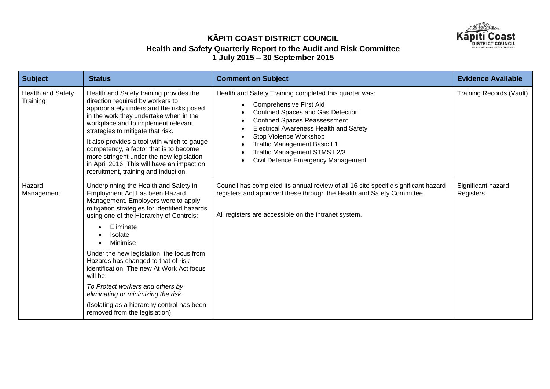

| <b>Subject</b>                       | <b>Status</b>                                                                                                                                                                                                                                                                                                                                                                                                                                                            | <b>Comment on Subject</b>                                                                                                                                                                                                                                                                                                                                                             | <b>Evidence Available</b>        |
|--------------------------------------|--------------------------------------------------------------------------------------------------------------------------------------------------------------------------------------------------------------------------------------------------------------------------------------------------------------------------------------------------------------------------------------------------------------------------------------------------------------------------|---------------------------------------------------------------------------------------------------------------------------------------------------------------------------------------------------------------------------------------------------------------------------------------------------------------------------------------------------------------------------------------|----------------------------------|
| <b>Health and Safety</b><br>Training | Health and Safety training provides the<br>direction required by workers to<br>appropriately understand the risks posed<br>in the work they undertake when in the<br>workplace and to implement relevant<br>strategies to mitigate that risk.<br>It also provides a tool with which to gauge<br>competency, a factor that is to become<br>more stringent under the new legislation<br>in April 2016. This will have an impact on<br>recruitment, training and induction. | Health and Safety Training completed this quarter was:<br><b>Comprehensive First Aid</b><br>Confined Spaces and Gas Detection<br><b>Confined Spaces Reassessment</b><br>$\bullet$<br><b>Electrical Awareness Health and Safety</b><br>Stop Violence Workshop<br>$\bullet$<br><b>Traffic Management Basic L1</b><br>Traffic Management STMS L2/3<br>Civil Defence Emergency Management | <b>Training Records (Vault)</b>  |
| Hazard<br>Management                 | Underpinning the Health and Safety in<br>Employment Act has been Hazard<br>Management. Employers were to apply<br>mitigation strategies for identified hazards<br>using one of the Hierarchy of Controls:                                                                                                                                                                                                                                                                | Council has completed its annual review of all 16 site specific significant hazard<br>registers and approved these through the Health and Safety Committee.<br>All registers are accessible on the intranet system.                                                                                                                                                                   | Significant hazard<br>Registers. |
|                                      | Eliminate<br><b>Isolate</b><br>Minimise                                                                                                                                                                                                                                                                                                                                                                                                                                  |                                                                                                                                                                                                                                                                                                                                                                                       |                                  |
|                                      | Under the new legislation, the focus from<br>Hazards has changed to that of risk<br>identification. The new At Work Act focus<br>will be:                                                                                                                                                                                                                                                                                                                                |                                                                                                                                                                                                                                                                                                                                                                                       |                                  |
|                                      | To Protect workers and others by<br>eliminating or minimizing the risk.                                                                                                                                                                                                                                                                                                                                                                                                  |                                                                                                                                                                                                                                                                                                                                                                                       |                                  |
|                                      | (Isolating as a hierarchy control has been<br>removed from the legislation).                                                                                                                                                                                                                                                                                                                                                                                             |                                                                                                                                                                                                                                                                                                                                                                                       |                                  |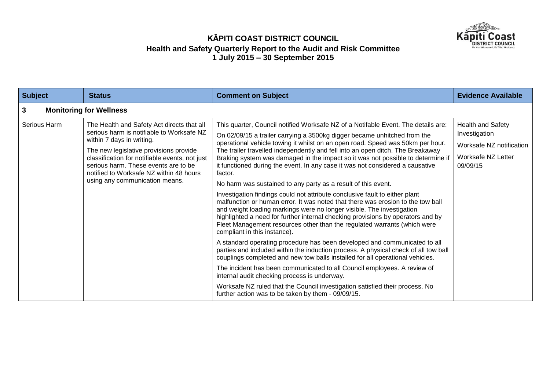

| <b>Subject</b>                      | <b>Status</b>                                                                                                                                                                                                                                                                                                                         | <b>Comment on Subject</b>                                                                                                                                                                                                                                                                                                                                                                                                                                                                                                                                                                                                                                                                                                                                                                                                                                                                                                                                                                                                                                                                                                                                                                                                                                                                                                                                                                                                                                                                                                                          | <b>Evidence Available</b>                                                                        |
|-------------------------------------|---------------------------------------------------------------------------------------------------------------------------------------------------------------------------------------------------------------------------------------------------------------------------------------------------------------------------------------|----------------------------------------------------------------------------------------------------------------------------------------------------------------------------------------------------------------------------------------------------------------------------------------------------------------------------------------------------------------------------------------------------------------------------------------------------------------------------------------------------------------------------------------------------------------------------------------------------------------------------------------------------------------------------------------------------------------------------------------------------------------------------------------------------------------------------------------------------------------------------------------------------------------------------------------------------------------------------------------------------------------------------------------------------------------------------------------------------------------------------------------------------------------------------------------------------------------------------------------------------------------------------------------------------------------------------------------------------------------------------------------------------------------------------------------------------------------------------------------------------------------------------------------------------|--------------------------------------------------------------------------------------------------|
| <b>Monitoring for Wellness</b><br>3 |                                                                                                                                                                                                                                                                                                                                       |                                                                                                                                                                                                                                                                                                                                                                                                                                                                                                                                                                                                                                                                                                                                                                                                                                                                                                                                                                                                                                                                                                                                                                                                                                                                                                                                                                                                                                                                                                                                                    |                                                                                                  |
| Serious Harm                        | The Health and Safety Act directs that all<br>serious harm is notifiable to Worksafe NZ<br>within 7 days in writing.<br>The new legislative provisions provide<br>classification for notifiable events, not just<br>serious harm. These events are to be<br>notified to Worksafe NZ within 48 hours<br>using any communication means. | This quarter, Council notified Worksafe NZ of a Notifable Event. The details are:<br>On 02/09/15 a trailer carrying a 3500kg digger became unhitched from the<br>operational vehicle towing it whilst on an open road. Speed was 50km per hour.<br>The trailer travelled independently and fell into an open ditch. The Breakaway<br>Braking system was damaged in the impact so it was not possible to determine if<br>it functioned during the event. In any case it was not considered a causative<br>factor.<br>No harm was sustained to any party as a result of this event.<br>Investigation findings could not attribute conclusive fault to either plant<br>malfunction or human error. It was noted that there was erosion to the tow ball<br>and weight loading markings were no longer visible. The investigation<br>highlighted a need for further internal checking provisions by operators and by<br>Fleet Management resources other than the regulated warrants (which were<br>compliant in this instance).<br>A standard operating procedure has been developed and communicated to all<br>parties and included within the induction process. A physical check of all tow ball<br>couplings completed and new tow balls installed for all operational vehicles.<br>The incident has been communicated to all Council employees. A review of<br>internal audit checking process is underway.<br>Worksafe NZ ruled that the Council investigation satisfied their process. No<br>further action was to be taken by them - 09/09/15. | Health and Safety<br>Investigation<br>Worksafe NZ notification<br>Worksafe NZ Letter<br>09/09/15 |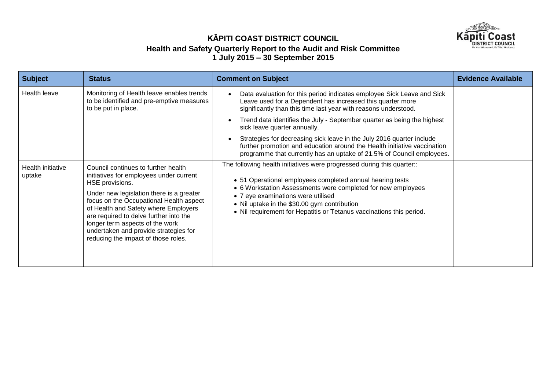

| <b>Subject</b>              | <b>Status</b>                                                                                                                                                                                                                                                                                                                                                                                 | <b>Comment on Subject</b>                                                                                                                                                                                                                                                                                                                                         | <b>Evidence Available</b> |
|-----------------------------|-----------------------------------------------------------------------------------------------------------------------------------------------------------------------------------------------------------------------------------------------------------------------------------------------------------------------------------------------------------------------------------------------|-------------------------------------------------------------------------------------------------------------------------------------------------------------------------------------------------------------------------------------------------------------------------------------------------------------------------------------------------------------------|---------------------------|
| Health leave                | Monitoring of Health leave enables trends<br>to be identified and pre-emptive measures<br>to be put in place.                                                                                                                                                                                                                                                                                 | Data evaluation for this period indicates employee Sick Leave and Sick<br>Leave used for a Dependent has increased this quarter more<br>significantly than this time last year with reasons understood.<br>Trend data identifies the July - September quarter as being the highest<br>$\bullet$<br>sick leave quarter annually.                                   |                           |
|                             |                                                                                                                                                                                                                                                                                                                                                                                               | Strategies for decreasing sick leave in the July 2016 quarter include<br>$\bullet$<br>further promotion and education around the Health initiative vaccination<br>programme that currently has an uptake of 21.5% of Council employees.                                                                                                                           |                           |
| Health initiative<br>uptake | Council continues to further health<br>initiatives for employees under current<br>HSE provisions.<br>Under new legislation there is a greater<br>focus on the Occupational Health aspect<br>of Health and Safety where Employers<br>are required to delve further into the<br>longer term aspects of the work<br>undertaken and provide strategies for<br>reducing the impact of those roles. | The following health initiatives were progressed during this quarter::<br>• 51 Operational employees completed annual hearing tests<br>• 6 Workstation Assessments were completed for new employees<br>• 7 eye examinations were utilised<br>• Nil uptake in the \$30.00 gym contribution<br>• Nil requirement for Hepatitis or Tetanus vaccinations this period. |                           |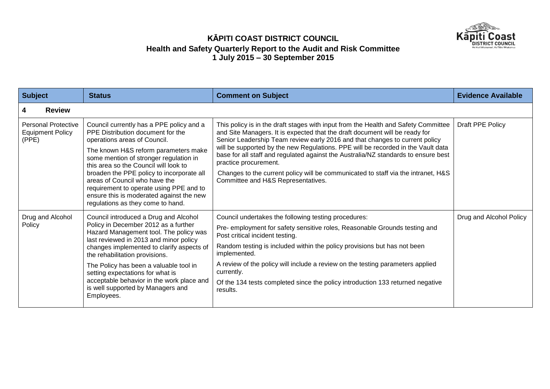

| <b>Subject</b>                                                 | <b>Status</b>                                                                                                                                                                                                                                                                                                                                                                                                                                      | <b>Comment on Subject</b>                                                                                                                                                                                                                                                                                                                                                                                                                                                                                                                                                      | <b>Evidence Available</b> |
|----------------------------------------------------------------|----------------------------------------------------------------------------------------------------------------------------------------------------------------------------------------------------------------------------------------------------------------------------------------------------------------------------------------------------------------------------------------------------------------------------------------------------|--------------------------------------------------------------------------------------------------------------------------------------------------------------------------------------------------------------------------------------------------------------------------------------------------------------------------------------------------------------------------------------------------------------------------------------------------------------------------------------------------------------------------------------------------------------------------------|---------------------------|
| <b>Review</b><br>4                                             |                                                                                                                                                                                                                                                                                                                                                                                                                                                    |                                                                                                                                                                                                                                                                                                                                                                                                                                                                                                                                                                                |                           |
| <b>Personal Protective</b><br><b>Equipment Policy</b><br>(PPE) | Council currently has a PPE policy and a<br>PPE Distribution document for the<br>operations areas of Council.<br>The known H&S reform parameters make<br>some mention of stronger regulation in<br>this area so the Council will look to<br>broaden the PPE policy to incorporate all<br>areas of Council who have the<br>requirement to operate using PPE and to<br>ensure this is moderated against the new<br>regulations as they come to hand. | This policy is in the draft stages with input from the Health and Safety Committee<br>and Site Managers. It is expected that the draft document will be ready for<br>Senior Leadership Team review early 2016 and that changes to current policy<br>will be supported by the new Regulations. PPE will be recorded in the Vault data<br>base for all staff and regulated against the Australia/NZ standards to ensure best<br>practice procurement.<br>Changes to the current policy will be communicated to staff via the intranet, H&S<br>Committee and H&S Representatives. | Draft PPE Policy          |
| Drug and Alcohol<br>Policy                                     | Council introduced a Drug and Alcohol<br>Policy in December 2012 as a further<br>Hazard Management tool. The policy was<br>last reviewed in 2013 and minor policy<br>changes implemented to clarify aspects of<br>the rehabilitation provisions.<br>The Policy has been a valuable tool in<br>setting expectations for what is<br>acceptable behavior in the work place and<br>is well supported by Managers and<br>Employees.                     | Council undertakes the following testing procedures:<br>Pre- employment for safety sensitive roles, Reasonable Grounds testing and<br>Post critical incident testing.<br>Random testing is included within the policy provisions but has not been<br>implemented.<br>A review of the policy will include a review on the testing parameters applied<br>currently.<br>Of the 134 tests completed since the policy introduction 133 returned negative<br>results.                                                                                                                | Drug and Alcohol Policy   |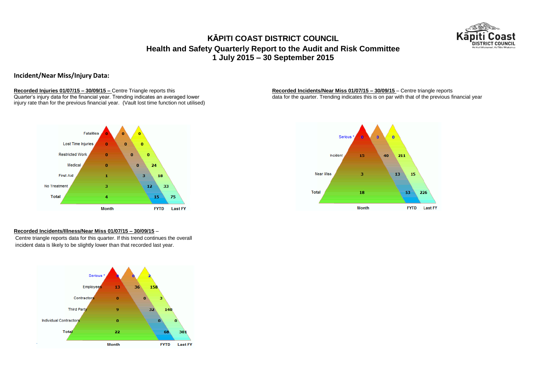

**Incident/Near Miss/Injury Data:**

**Recorded Injuries 01/07/15 – 30/09/15 –** Centre Triangle reports this **Recorded Incidents/Near Miss 01/07/15 – 30/09/15** – Centre triangle reports this **Quarter's injury data for the financial year.** Trending indicates an injury rate than for the previous financial year. (Vault lost time function not utilised)

data for the quarter. Trending indicates this is on par with that of the previous financial year.



#### **Recorded Incidents/Illness/Near Miss 01/07/15 – 30/09/15** –

Centre triangle reports data for this quarter. If this trend continues the overall incident data is likely to be slightly lower than that recorded last year.